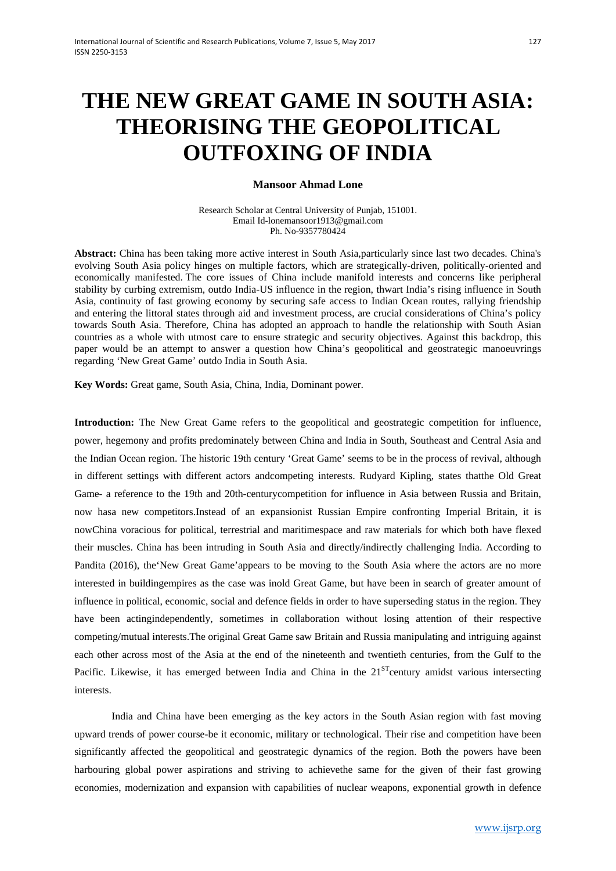# **THE NEW GREAT GAME IN SOUTH ASIA: THEORISING THE GEOPOLITICAL OUTFOXING OF INDIA**

## **Mansoor Ahmad Lone**

Research Scholar at Central University of Punjab, 151001. Email Id-lonemansoor1913@gmail.com Ph. No-9357780424

**Abstract:** China has been taking more active interest in South Asia,particularly since last two decades. China's evolving South Asia policy hinges on multiple factors, which are strategically-driven, politically-oriented and economically manifested. The core issues of China include manifold interests and concerns like peripheral stability by curbing extremism, outdo India-US influence in the region, thwart India's rising influence in South Asia, continuity of fast growing economy by securing safe access to Indian Ocean routes, rallying friendship and entering the littoral states through aid and investment process, are crucial considerations of China's policy towards South Asia. Therefore, China has adopted an approach to handle the relationship with South Asian countries as a whole with utmost care to ensure strategic and security objectives. Against this backdrop, this paper would be an attempt to answer a question how China's geopolitical and geostrategic manoeuvrings regarding 'New Great Game' outdo India in South Asia.

**Key Words:** Great game, South Asia, China, India, Dominant power.

**Introduction:** The New Great Game refers to the geopolitical and geostrategic competition for influence, power, hegemony and profits predominately between China and India in South, Southeast and Central Asia and the Indian Ocean region. The historic 19th century 'Great Game' seems to be in the process of revival, although in different settings with different actors andcompeting interests. Rudyard Kipling, states thatthe Old Great Game- a reference to the 19th and 20th-centurycompetition for influence in Asia between Russia and Britain, now hasa new competitors.Instead of an expansionist Russian Empire confronting Imperial Britain, it is nowChina voracious for political, terrestrial and maritimespace and raw materials for which both have flexed their muscles. China has been intruding in South Asia and directly/indirectly challenging India. According to Pandita (2016), the New Great Game'appears to be moving to the South Asia where the actors are no more interested in buildingempires as the case was inold Great Game, but have been in search of greater amount of influence in political, economic, social and defence fields in order to have superseding status in the region. They have been actingindependently, sometimes in collaboration without losing attention of their respective competing/mutual interests.The original Great Game saw Britain and Russia manipulating and intriguing against each other across most of the Asia at the end of the nineteenth and twentieth centuries, from the Gulf to the Pacific. Likewise, it has emerged between India and China in the  $21<sup>ST</sup>$ century amidst various intersecting interests.

India and China have been emerging as the key actors in the South Asian region with fast moving upward trends of power course-be it economic, military or technological. Their rise and competition have been significantly affected the geopolitical and geostrategic dynamics of the region. Both the powers have been harbouring global power aspirations and striving to achievethe same for the given of their fast growing economies, modernization and expansion with capabilities of nuclear weapons, exponential growth in defence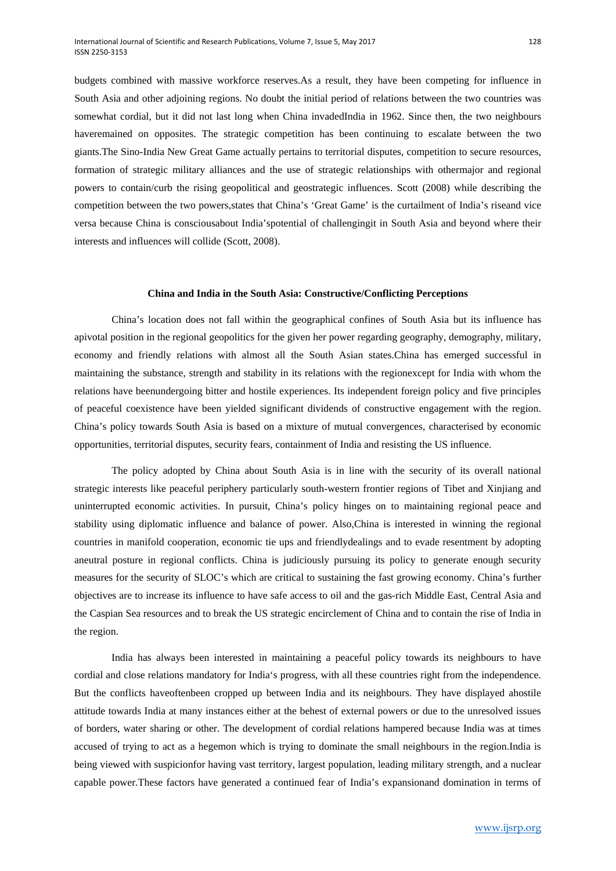budgets combined with massive workforce reserves.As a result, they have been competing for influence in South Asia and other adjoining regions. No doubt the initial period of relations between the two countries was somewhat cordial, but it did not last long when China invadedIndia in 1962. Since then, the two neighbours haveremained on opposites. The strategic competition has been continuing to escalate between the two giants.The Sino-India New Great Game actually pertains to territorial disputes, competition to secure resources, formation of strategic military alliances and the use of strategic relationships with othermajor and regional powers to contain/curb the rising geopolitical and geostrategic influences. Scott (2008) while describing the competition between the two powers,states that China's 'Great Game' is the curtailment of India's riseand vice versa because China is consciousabout India'spotential of challengingit in South Asia and beyond where their interests and influences will collide (Scott, 2008).

#### **China and India in the South Asia: Constructive/Conflicting Perceptions**

China's location does not fall within the geographical confines of South Asia but its influence has apivotal position in the regional geopolitics for the given her power regarding geography, demography, military, economy and friendly relations with almost all the South Asian states.China has emerged successful in maintaining the substance, strength and stability in its relations with the regionexcept for India with whom the relations have beenundergoing bitter and hostile experiences. Its independent foreign policy and five principles of peaceful coexistence have been yielded significant dividends of constructive engagement with the region. China's policy towards South Asia is based on a mixture of mutual convergences, characterised by economic opportunities, territorial disputes, security fears, containment of India and resisting the US influence.

The policy adopted by China about South Asia is in line with the security of its overall national strategic interests like peaceful periphery particularly south-western frontier regions of Tibet and Xinjiang and uninterrupted economic activities. In pursuit, China's policy hinges on to maintaining regional peace and stability using diplomatic influence and balance of power. Also,China is interested in winning the regional countries in manifold cooperation, economic tie ups and friendlydealings and to evade resentment by adopting aneutral posture in regional conflicts. China is judiciously pursuing its policy to generate enough security measures for the security of SLOC's which are critical to sustaining the fast growing economy. China's further objectives are to increase its influence to have safe access to oil and the gas-rich Middle East, Central Asia and the Caspian Sea resources and to break the US strategic encirclement of China and to contain the rise of India in the region.

India has always been interested in maintaining a peaceful policy towards its neighbours to have cordial and close relations mandatory for India's progress, with all these countries right from the independence. But the conflicts haveoftenbeen cropped up between India and its neighbours. They have displayed ahostile attitude towards India at many instances either at the behest of external powers or due to the unresolved issues of borders, water sharing or other. The development of cordial relations hampered because India was at times accused of trying to act as a hegemon which is trying to dominate the small neighbours in the region.India is being viewed with suspicionfor having vast territory, largest population, leading military strength, and a nuclear capable power.These factors have generated a continued fear of India's expansionand domination in terms of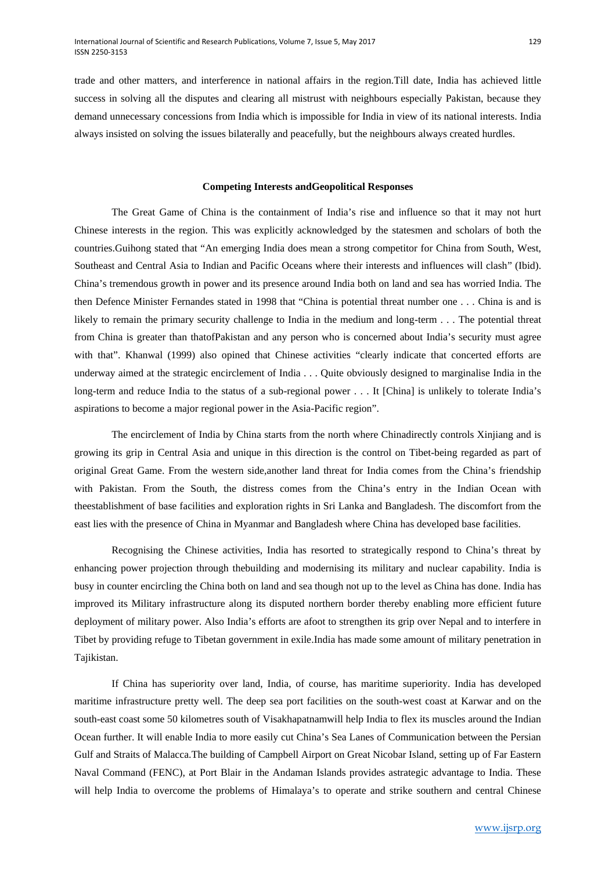trade and other matters, and interference in national affairs in the region.Till date, India has achieved little success in solving all the disputes and clearing all mistrust with neighbours especially Pakistan, because they demand unnecessary concessions from India which is impossible for India in view of its national interests. India always insisted on solving the issues bilaterally and peacefully, but the neighbours always created hurdles.

## **Competing Interests andGeopolitical Responses**

The Great Game of China is the containment of India's rise and influence so that it may not hurt Chinese interests in the region. This was explicitly acknowledged by the statesmen and scholars of both the countries.Guihong stated that "An emerging India does mean a strong competitor for China from South, West, Southeast and Central Asia to Indian and Pacific Oceans where their interests and influences will clash" (Ibid). China's tremendous growth in power and its presence around India both on land and sea has worried India. The then Defence Minister Fernandes stated in 1998 that "China is potential threat number one . . . China is and is likely to remain the primary security challenge to India in the medium and long-term . . . The potential threat from China is greater than thatofPakistan and any person who is concerned about India's security must agree with that". Khanwal (1999) also opined that Chinese activities "clearly indicate that concerted efforts are underway aimed at the strategic encirclement of India . . . Quite obviously designed to marginalise India in the long-term and reduce India to the status of a sub-regional power . . . It [China] is unlikely to tolerate India's aspirations to become a major regional power in the Asia-Pacific region".

The encirclement of India by China starts from the north where Chinadirectly controls Xinjiang and is growing its grip in Central Asia and unique in this direction is the control on Tibet-being regarded as part of original Great Game. From the western side,another land threat for India comes from the China's friendship with Pakistan. From the South, the distress comes from the China's entry in the Indian Ocean with theestablishment of base facilities and exploration rights in Sri Lanka and Bangladesh. The discomfort from the east lies with the presence of China in Myanmar and Bangladesh where China has developed base facilities.

Recognising the Chinese activities, India has resorted to strategically respond to China's threat by enhancing power projection through thebuilding and modernising its military and nuclear capability. India is busy in counter encircling the China both on land and sea though not up to the level as China has done. India has improved its Military infrastructure along its disputed northern border thereby enabling more efficient future deployment of military power. Also India's efforts are afoot to strengthen its grip over Nepal and to interfere in Tibet by providing refuge to Tibetan government in exile.India has made some amount of military penetration in Tajikistan.

If China has superiority over land, India, of course, has maritime superiority. India has developed maritime infrastructure pretty well. The deep sea port facilities on the south-west coast at Karwar and on the south-east coast some 50 kilometres south of Visakhapatnamwill help India to flex its muscles around the Indian Ocean further. It will enable India to more easily cut China's Sea Lanes of Communication between the Persian Gulf and Straits of Malacca.The building of Campbell Airport on Great Nicobar Island, setting up of Far Eastern Naval Command (FENC), at Port Blair in the Andaman Islands provides astrategic advantage to India. These will help India to overcome the problems of Himalaya's to operate and strike southern and central Chinese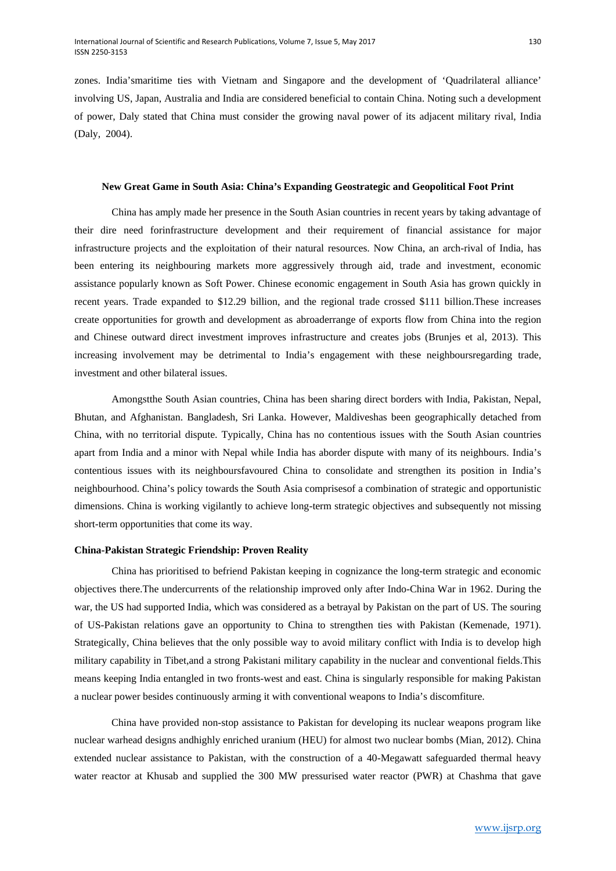zones. India'smaritime ties with Vietnam and Singapore and the development of 'Quadrilateral alliance' involving US, Japan, Australia and India are considered beneficial to contain China. Noting such a development of power, Daly stated that China must consider the growing naval power of its adjacent military rival, India (Daly, 2004).

#### **New Great Game in South Asia: China's Expanding Geostrategic and Geopolitical Foot Print**

China has amply made her presence in the South Asian countries in recent years by taking advantage of their dire need forinfrastructure development and their requirement of financial assistance for major infrastructure projects and the exploitation of their natural resources. Now China, an arch-rival of India, has been entering its neighbouring markets more aggressively through aid, trade and investment, economic assistance popularly known as Soft Power. Chinese economic engagement in South Asia has grown quickly in recent years. Trade expanded to \$12.29 billion, and the regional trade crossed \$111 billion.These increases create opportunities for growth and development as abroaderrange of exports flow from China into the region and Chinese outward direct investment improves infrastructure and creates jobs (Brunjes et al, 2013). This increasing involvement may be detrimental to India's engagement with these neighboursregarding trade, investment and other bilateral issues.

Amongstthe South Asian countries, China has been sharing direct borders with India, Pakistan, Nepal, Bhutan, and Afghanistan. Bangladesh, Sri Lanka. However, Maldiveshas been geographically detached from China, with no territorial dispute. Typically, China has no contentious issues with the South Asian countries apart from India and a minor with Nepal while India has aborder dispute with many of its neighbours. India's contentious issues with its neighboursfavoured China to consolidate and strengthen its position in India's neighbourhood. China's policy towards the South Asia comprisesof a combination of strategic and opportunistic dimensions. China is working vigilantly to achieve long-term strategic objectives and subsequently not missing short-term opportunities that come its way.

#### **China-Pakistan Strategic Friendship: Proven Reality**

China has prioritised to befriend Pakistan keeping in cognizance the long-term strategic and economic objectives there.The undercurrents of the relationship improved only after Indo-China War in 1962. During the war, the US had supported India, which was considered as a betrayal by Pakistan on the part of US. The souring of US-Pakistan relations gave an opportunity to China to strengthen ties with Pakistan (Kemenade, 1971). Strategically, China believes that the only possible way to avoid military conflict with India is to develop high military capability in Tibet,and a strong Pakistani military capability in the nuclear and conventional fields.This means keeping India entangled in two fronts-west and east. China is singularly responsible for making Pakistan a nuclear power besides continuously arming it with conventional weapons to India's discomfiture.

China have provided non-stop assistance to Pakistan for developing its nuclear weapons program like nuclear warhead designs andhighly enriched uranium (HEU) for almost two nuclear bombs (Mian, 2012). China extended nuclear assistance to Pakistan, with the construction of a 40-Megawatt safeguarded thermal heavy water reactor at Khusab and supplied the 300 MW pressurised water reactor (PWR) at Chashma that gave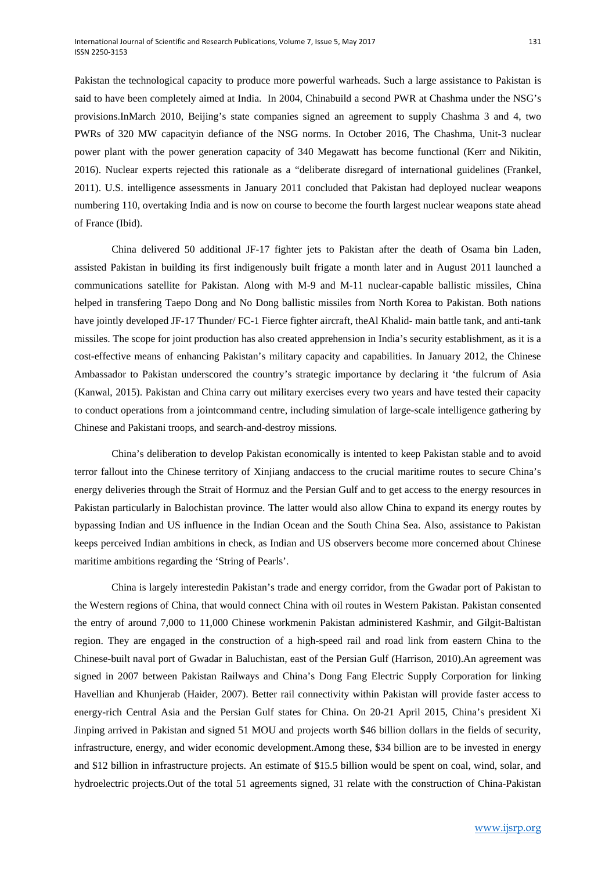Pakistan the technological capacity to produce more powerful warheads. Such a large assistance to Pakistan is said to have been completely aimed at India. In 2004, Chinabuild a second PWR at Chashma under the NSG's provisions.InMarch 2010, Beijing's state companies signed an agreement to supply Chashma 3 and 4, two PWRs of 320 MW capacityin defiance of the NSG norms. In October 2016, The Chashma, Unit-3 nuclear power plant with the power generation capacity of 340 Megawatt has become functional (Kerr and Nikitin, 2016). Nuclear experts rejected this rationale as a "deliberate disregard of international guidelines (Frankel, 2011). U.S. intelligence assessments in January 2011 concluded that Pakistan had deployed nuclear weapons numbering 110, overtaking India and is now on course to become the fourth largest nuclear weapons state ahead of France (Ibid).

China delivered 50 additional JF-17 fighter jets to Pakistan after the death of Osama bin Laden, assisted Pakistan in building its first indigenously built frigate a month later and in August 2011 launched a communications satellite for Pakistan. Along with M-9 and M-11 nuclear-capable ballistic missiles, China helped in transfering Taepo Dong and No Dong ballistic missiles from North Korea to Pakistan. Both nations have jointly developed JF-17 Thunder/ FC-1 Fierce fighter aircraft, theAl Khalid- main battle tank, and anti-tank missiles. The scope for joint production has also created apprehension in India's security establishment, as it is a cost-effective means of enhancing Pakistan's military capacity and capabilities. In January 2012, the Chinese Ambassador to Pakistan underscored the country's strategic importance by declaring it 'the fulcrum of Asia (Kanwal, 2015). Pakistan and China carry out military exercises every two years and have tested their capacity to conduct operations from a jointcommand centre, including simulation of large-scale intelligence gathering by Chinese and Pakistani troops, and search-and-destroy missions.

China's deliberation to develop Pakistan economically is intented to keep Pakistan stable and to avoid terror fallout into the Chinese territory of Xinjiang andaccess to the crucial maritime routes to secure China's energy deliveries through the Strait of Hormuz and the Persian Gulf and to get access to the energy resources in Pakistan particularly in Balochistan province. The latter would also allow China to expand its energy routes by bypassing Indian and US influence in the Indian Ocean and the South China Sea. Also, assistance to Pakistan keeps perceived Indian ambitions in check, as Indian and US observers become more concerned about Chinese maritime ambitions regarding the 'String of Pearls'.

China is largely interestedin Pakistan's trade and energy corridor, from the Gwadar port of Pakistan to the Western regions of China, that would connect China with oil routes in Western Pakistan. Pakistan consented the entry of around 7,000 to 11,000 Chinese workmenin Pakistan administered Kashmir, and Gilgit-Baltistan region. They are engaged in the construction of a high-speed rail and road link from eastern China to the Chinese-built naval port of Gwadar in Baluchistan, east of the Persian Gulf (Harrison, 2010).An agreement was signed in 2007 between Pakistan Railways and China's Dong Fang Electric Supply Corporation for linking Havellian and Khunjerab (Haider, 2007). Better rail connectivity within Pakistan will provide faster access to energy-rich Central Asia and the Persian Gulf states for China. On 20-21 April 2015, China's president Xi Jinping arrived in Pakistan and signed 51 MOU and projects worth \$46 billion dollars in the fields of security, infrastructure, energy, and wider economic development.Among these, \$34 billion are to be invested in energy and \$12 billion in infrastructure projects. An estimate of \$15.5 billion would be spent on coal, wind, solar, and hydroelectric projects.Out of the total 51 agreements signed, 31 relate with the construction of China-Pakistan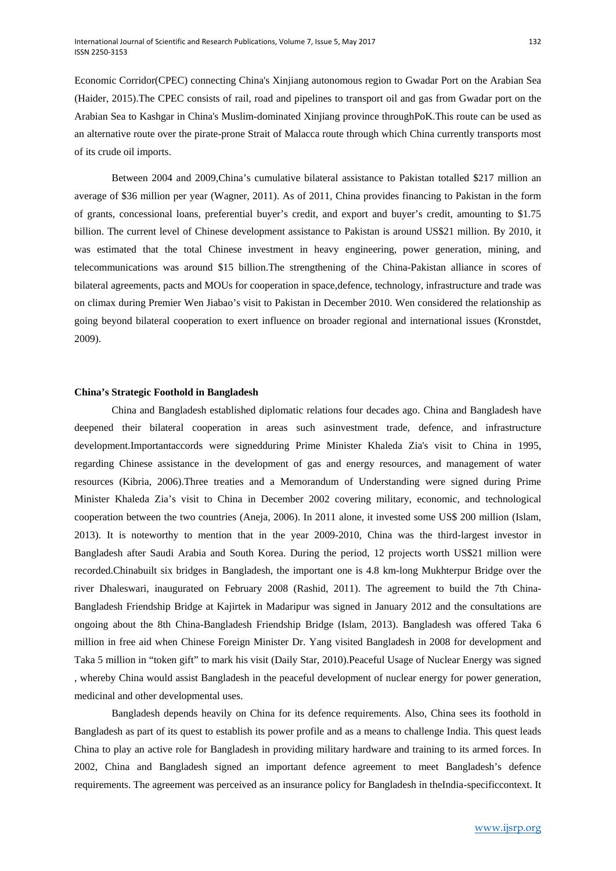Economic Corridor(CPEC) connecting China's Xinjiang autonomous region to Gwadar Port on the Arabian Sea (Haider, 2015).The CPEC consists of rail, road and pipelines to transport oil and gas from Gwadar port on the Arabian Sea to Kashgar in China's Muslim-dominated Xinjiang province throughPoK.This route can be used as an alternative route over the pirate-prone Strait of Malacca route through which China currently transports most of its crude oil imports.

Between 2004 and 2009,China's cumulative bilateral assistance to Pakistan totalled \$217 million an average of \$36 million per year (Wagner, 2011). As of 2011, China provides financing to Pakistan in the form of grants, concessional loans, preferential buyer's credit, and export and buyer's credit, amounting to \$1.75 billion. The current level of Chinese development assistance to Pakistan is around US\$21 million. By 2010, it was estimated that the total Chinese investment in heavy engineering, power generation, mining, and telecommunications was around \$15 billion.The strengthening of the China-Pakistan alliance in scores of bilateral agreements, pacts and MOUs for cooperation in space,defence, technology, infrastructure and trade was on climax during Premier Wen Jiabao's visit to Pakistan in December 2010. Wen considered the relationship as going beyond bilateral cooperation to exert influence on broader regional and international issues (Kronstdet, 2009).

## **China's Strategic Foothold in Bangladesh**

China and Bangladesh established diplomatic relations four decades ago. China and Bangladesh have deepened their bilateral cooperation in areas such asinvestment trade, defence, and infrastructure development.Importantaccords were signedduring Prime Minister Khaleda Zia's visit to China in 1995, regarding Chinese assistance in the development of gas and energy resources, and management of water resources (Kibria, 2006).Three treaties and a Memorandum of Understanding were signed during Prime Minister Khaleda Zia's visit to China in December 2002 covering military, economic, and technological cooperation between the two countries (Aneja, 2006). In 2011 alone, it invested some US\$ 200 million (Islam, 2013). It is noteworthy to mention that in the year 2009-2010, China was the third-largest investor in Bangladesh after Saudi Arabia and South Korea. During the period, 12 projects worth US\$21 million were recorded.Chinabuilt six bridges in Bangladesh, the important one is 4.8 km-long Mukhterpur Bridge over the river Dhaleswari, inaugurated on February 2008 (Rashid, 2011). The agreement to build the 7th China-Bangladesh Friendship Bridge at Kajirtek in Madaripur was signed in January 2012 and the consultations are ongoing about the 8th China-Bangladesh Friendship Bridge (Islam, 2013). Bangladesh was offered Taka 6 million in free aid when Chinese Foreign Minister Dr. Yang visited Bangladesh in 2008 for development and Taka 5 million in "token gift" to mark his visit (Daily Star, 2010).Peaceful Usage of Nuclear Energy was signed , whereby China would assist Bangladesh in the peaceful development of nuclear energy for power generation, medicinal and other developmental uses.

Bangladesh depends heavily on China for its defence requirements. Also, China sees its foothold in Bangladesh as part of its quest to establish its power profile and as a means to challenge India. This quest leads China to play an active role for Bangladesh in providing military hardware and training to its armed forces. In 2002, China and Bangladesh signed an important defence agreement to meet Bangladesh's defence requirements. The agreement was perceived as an insurance policy for Bangladesh in theIndia-specificcontext. It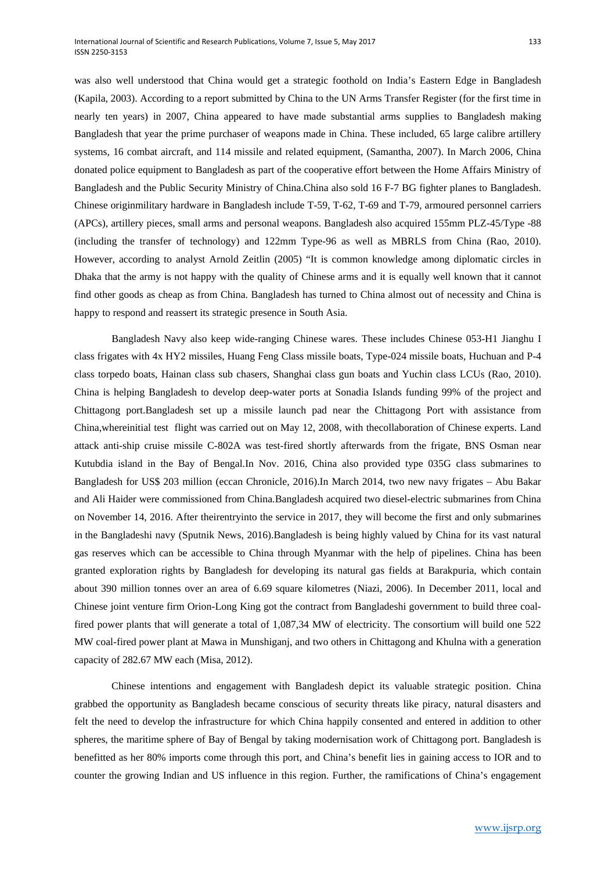happy to respond and reassert its strategic presence in South Asia.

was also well understood that China would get a strategic foothold on India's Eastern Edge in Bangladesh (Kapila, 2003). According to a report submitted by China to the UN Arms Transfer Register (for the first time in nearly ten years) in 2007, China appeared to have made substantial arms supplies to Bangladesh making Bangladesh that year the prime purchaser of weapons made in China. These included, 65 large calibre artillery systems, 16 combat aircraft, and 114 missile and related equipment, (Samantha, 2007). In March 2006, China donated police equipment to Bangladesh as part of the cooperative effort between the Home Affairs Ministry of Bangladesh and the Public Security Ministry of China.China also sold 16 F-7 BG fighter planes to Bangladesh. Chinese originmilitary hardware in Bangladesh include T-59, T-62, T-69 and T-79, armoured personnel carriers (APCs), artillery pieces, small arms and personal weapons. Bangladesh also acquired 155mm PLZ-45/Type -88 (including the transfer of technology) and 122mm Type-96 as well as MBRLS from China (Rao, 2010). However, according to analyst Arnold Zeitlin (2005) "It is common knowledge among diplomatic circles in Dhaka that the army is not happy with the quality of Chinese arms and it is equally well known that it cannot

find other goods as cheap as from China. Bangladesh has turned to China almost out of necessity and China is

Bangladesh Navy also keep wide-ranging Chinese wares. These includes Chinese 053-H1 Jianghu I class frigates with 4x HY2 missiles, Huang Feng Class missile boats, Type-024 missile boats, Huchuan and P-4 class torpedo boats, Hainan class sub chasers, Shanghai class gun boats and Yuchin class LCUs (Rao, 2010). China is helping Bangladesh to develop deep-water ports at Sonadia Islands funding 99% of the project and Chittagong port.Bangladesh set up a missile launch pad near the Chittagong Port with assistance from China,whereinitial test flight was carried out on May 12, 2008, with thecollaboration of Chinese experts. Land attack anti-ship cruise missile C-802A was test-fired shortly afterwards from the frigate, BNS Osman near Kutubdia island in the Bay of Bengal.In Nov. 2016, China also provided type 035G class submarines to Bangladesh for US\$ 203 million (eccan Chronicle, 2016).In March 2014, two new navy frigates – Abu Bakar and Ali Haider were commissioned from China.Bangladesh acquired two diesel-electric submarines from China on November 14, 2016. After theirentryinto the service in 2017, they will become the first and only submarines in the Bangladeshi navy (Sputnik News, 2016).Bangladesh is being highly valued by China for its vast natural gas reserves which can be accessible to China through Myanmar with the help of pipelines. China has been granted exploration rights by Bangladesh for developing its natural gas fields at Barakpuria, which contain about 390 million tonnes over an area of 6.69 square kilometres (Niazi, 2006). In December 2011, local and Chinese joint venture firm Orion-Long King got the contract from Bangladeshi government to build three coalfired power plants that will generate a total of 1,087,34 MW of electricity. The consortium will build one 522 MW coal-fired power plant at Mawa in Munshiganj, and two others in Chittagong and Khulna with a generation capacity of 282.67 MW each (Misa, 2012).

Chinese intentions and engagement with Bangladesh depict its valuable strategic position. China grabbed the opportunity as Bangladesh became conscious of security threats like piracy, natural disasters and felt the need to develop the infrastructure for which China happily consented and entered in addition to other spheres, the maritime sphere of Bay of Bengal by taking modernisation work of Chittagong port. Bangladesh is benefitted as her 80% imports come through this port, and China's benefit lies in gaining access to IOR and to counter the growing Indian and US influence in this region. Further, the ramifications of China's engagement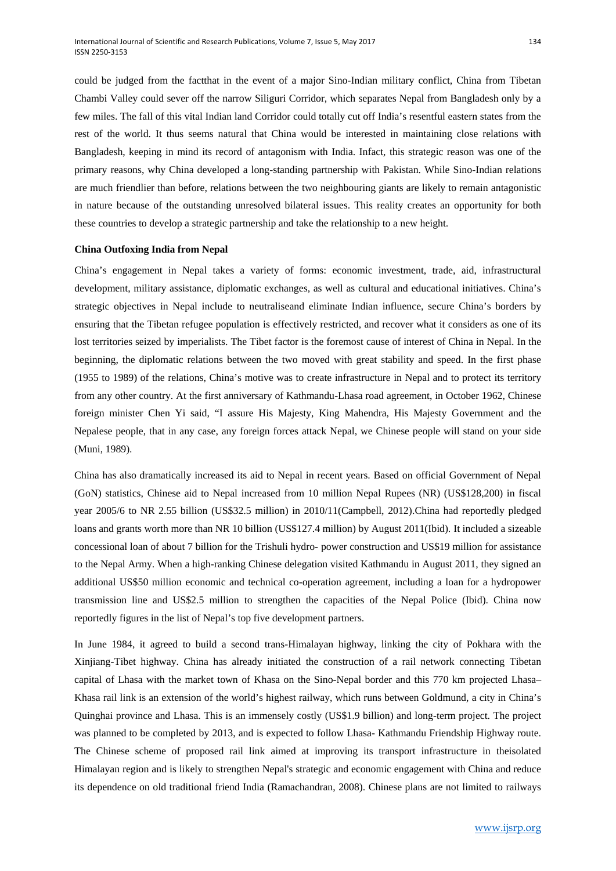could be judged from the factthat in the event of a major Sino-Indian military conflict, China from Tibetan Chambi Valley could sever off the narrow Siliguri Corridor, which separates Nepal from Bangladesh only by a few miles. The fall of this vital Indian land Corridor could totally cut off India's resentful eastern states from the rest of the world. It thus seems natural that China would be interested in maintaining close relations with Bangladesh, keeping in mind its record of antagonism with India. Infact, this strategic reason was one of the primary reasons, why China developed a long-standing partnership with Pakistan. While Sino-Indian relations are much friendlier than before, relations between the two neighbouring giants are likely to remain antagonistic in nature because of the outstanding unresolved bilateral issues. This reality creates an opportunity for both these countries to develop a strategic partnership and take the relationship to a new height.

## **China Outfoxing India from Nepal**

China's engagement in Nepal takes a variety of forms: economic investment, trade, aid, infrastructural development, military assistance, diplomatic exchanges, as well as cultural and educational initiatives. China's strategic objectives in Nepal include to neutraliseand eliminate Indian influence, secure China's borders by ensuring that the Tibetan refugee population is effectively restricted, and recover what it considers as one of its lost territories seized by imperialists. The Tibet factor is the foremost cause of interest of China in Nepal. In the beginning, the diplomatic relations between the two moved with great stability and speed. In the first phase (1955 to 1989) of the relations, China's motive was to create infrastructure in Nepal and to protect its territory from any other country. At the first anniversary of Kathmandu-Lhasa road agreement, in October 1962, Chinese foreign minister Chen Yi said, "I assure His Majesty, King Mahendra, His Majesty Government and the Nepalese people, that in any case, any foreign forces attack Nepal, we Chinese people will stand on your side (Muni, 1989).

China has also dramatically increased its aid to Nepal in recent years. Based on official Government of Nepal (GoN) statistics, Chinese aid to Nepal increased from 10 million Nepal Rupees (NR) (US\$128,200) in fiscal year 2005/6 to NR 2.55 billion (US\$32.5 million) in 2010/11(Campbell, 2012).China had reportedly pledged loans and grants worth more than NR 10 billion (US\$127.4 million) by August 2011(Ibid). It included a sizeable concessional loan of about 7 billion for the Trishuli hydro- power construction and US\$19 million for assistance to the Nepal Army. When a high-ranking Chinese delegation visited Kathmandu in August 2011, they signed an additional US\$50 million economic and technical co-operation agreement, including a loan for a hydropower transmission line and US\$2.5 million to strengthen the capacities of the Nepal Police (Ibid). China now reportedly figures in the list of Nepal's top five development partners.

In June 1984, it agreed to build a second trans-Himalayan highway, linking the city of Pokhara with the Xinjiang-Tibet highway. China has already initiated the construction of a rail network connecting Tibetan capital of Lhasa with the market town of Khasa on the Sino-Nepal border and this 770 km projected Lhasa– Khasa rail link is an extension of the world's highest railway, which runs between Goldmund, a city in China's Quinghai province and Lhasa. This is an immensely costly (US\$1.9 billion) and long-term project. The project was planned to be completed by 2013, and is expected to follow Lhasa- Kathmandu Friendship Highway route. The Chinese scheme of proposed rail link aimed at improving its transport infrastructure in theisolated Himalayan region and is likely to strengthen Nepal's strategic and economic engagement with China and reduce its dependence on old traditional friend India (Ramachandran, 2008). Chinese plans are not limited to railways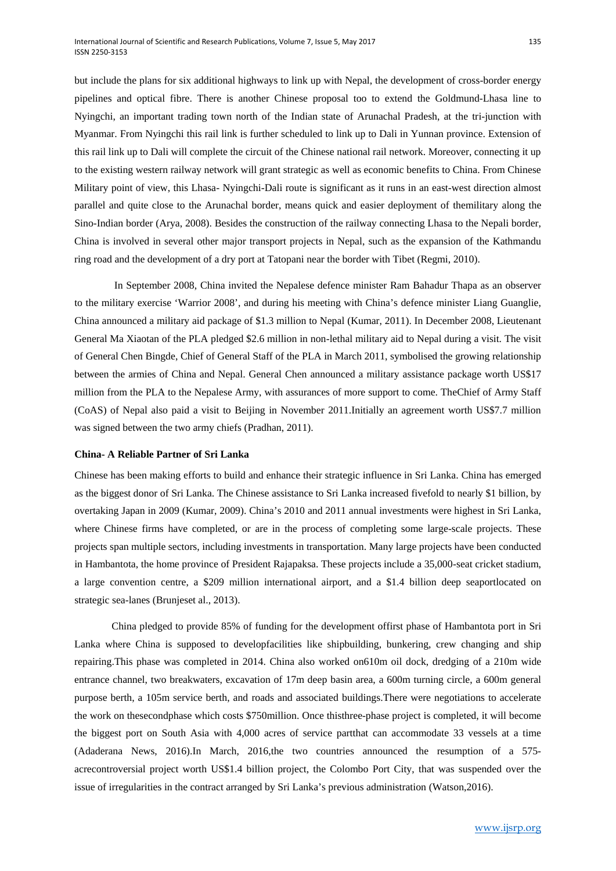but include the plans for six additional highways to link up with Nepal, the development of cross-border energy pipelines and optical fibre. There is another Chinese proposal too to extend the Goldmund-Lhasa line to Nyingchi, an important trading town north of the Indian state of Arunachal Pradesh, at the tri-junction with Myanmar. From Nyingchi this rail link is further scheduled to link up to Dali in Yunnan province. Extension of this rail link up to Dali will complete the circuit of the Chinese national rail network. Moreover, connecting it up to the existing western railway network will grant strategic as well as economic benefits to China. From Chinese Military point of view, this Lhasa- Nyingchi-Dali route is significant as it runs in an east-west direction almost parallel and quite close to the Arunachal border, means quick and easier deployment of themilitary along the Sino-Indian border (Arya, 2008). Besides the construction of the railway connecting Lhasa to the Nepali border, China is involved in several other major transport projects in Nepal, such as the expansion of the Kathmandu ring road and the development of a dry port at Tatopani near the border with Tibet (Regmi, 2010).

In September 2008, China invited the Nepalese defence minister Ram Bahadur Thapa as an observer to the military exercise 'Warrior 2008', and during his meeting with China's defence minister Liang Guanglie, China announced a military aid package of \$1.3 million to Nepal (Kumar, 2011). In December 2008, Lieutenant General Ma Xiaotan of the PLA pledged \$2.6 million in non-lethal military aid to Nepal during a visit. The visit of General Chen Bingde, Chief of General Staff of the PLA in March 2011, symbolised the growing relationship between the armies of China and Nepal. General Chen announced a military assistance package worth US\$17 million from the PLA to the Nepalese Army, with assurances of more support to come. TheChief of Army Staff (CoAS) of Nepal also paid a visit to Beijing in November 2011.Initially an agreement worth US\$7.7 million was signed between the two army chiefs (Pradhan, 2011).

## **China- A Reliable Partner of Sri Lanka**

Chinese has been making efforts to build and enhance their strategic influence in Sri Lanka. China has emerged as the biggest donor of Sri Lanka. The Chinese assistance to Sri Lanka increased fivefold to nearly \$1 billion, by overtaking Japan in 2009 (Kumar, 2009). China's 2010 and 2011 annual investments were highest in Sri Lanka, where Chinese firms have completed, or are in the process of completing some large-scale projects. These projects span multiple sectors, including investments in transportation. Many large projects have been conducted in Hambantota, the home province of President Rajapaksa. These projects include a 35,000-seat cricket stadium, a large convention centre, a \$209 million international airport, and a \$1.4 billion deep seaportlocated on strategic sea-lanes (Brunjeset al., 2013).

China pledged to provide 85% of funding for the development offirst phase of Hambantota port in Sri Lanka where China is supposed to developfacilities like shipbuilding, bunkering, crew changing and ship repairing.This phase was completed in 2014. China also worked on610m oil dock, dredging of a 210m wide entrance channel, two breakwaters, excavation of 17m deep basin area, a 600m turning circle, a 600m general purpose berth, a 105m service berth, and roads and associated buildings.There were negotiations to accelerate the work on thesecondphase which costs \$750million. Once thisthree-phase project is completed, it will become the biggest port on South Asia with 4,000 acres of service partthat can accommodate 33 vessels at a time (Adaderana News, 2016).In March, 2016,the two countries announced the resumption of a 575 acrecontroversial project worth US\$1.4 billion project, the Colombo Port City, that was suspended over the issue of irregularities in the contract arranged by Sri Lanka's previous administration (Watson,2016).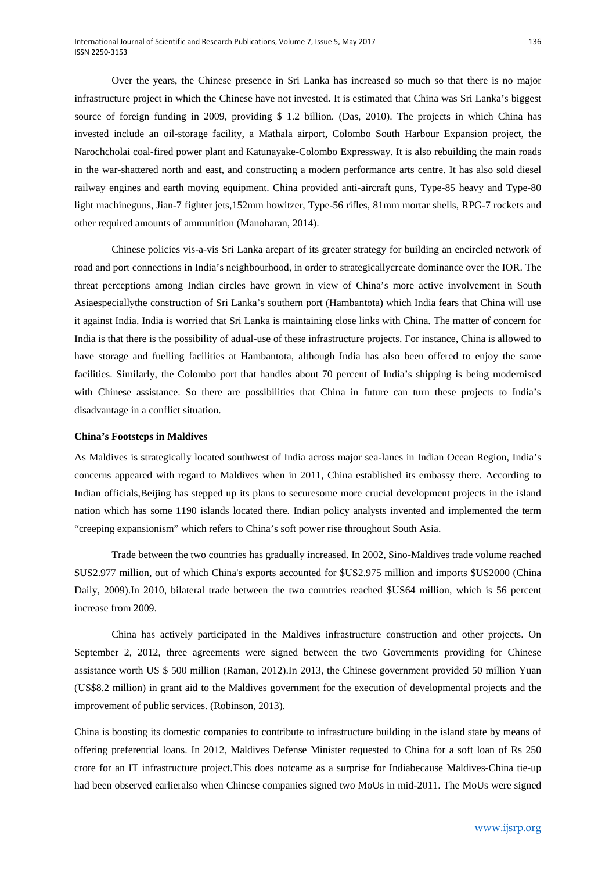Over the years, the Chinese presence in Sri Lanka has increased so much so that there is no major infrastructure project in which the Chinese have not invested. It is estimated that China was Sri Lanka's biggest source of foreign funding in 2009, providing \$ 1.2 billion. (Das, 2010). The projects in which China has invested include an oil-storage facility, a Mathala airport, Colombo South Harbour Expansion project, the Narochcholai coal-fired power plant and Katunayake-Colombo Expressway. It is also rebuilding the main roads in the war-shattered north and east, and constructing a modern performance arts centre. It has also sold diesel railway engines and earth moving equipment. China provided anti-aircraft guns, Type-85 heavy and Type-80 light machineguns, Jian-7 fighter jets,152mm howitzer, Type-56 rifles, 81mm mortar shells, RPG-7 rockets and other required amounts of ammunition (Manoharan, 2014).

Chinese policies vis-a-vis Sri Lanka arepart of its greater strategy for building an encircled network of road and port connections in India's neighbourhood, in order to strategicallycreate dominance over the IOR. The threat perceptions among Indian circles have grown in view of China's more active involvement in South Asiaespeciallythe construction of Sri Lanka's southern port (Hambantota) which India fears that China will use it against India. India is worried that Sri Lanka is maintaining close links with China. The matter of concern for India is that there is the possibility of adual-use of these infrastructure projects. For instance, China is allowed to have storage and fuelling facilities at Hambantota, although India has also been offered to enjoy the same facilities. Similarly, the Colombo port that handles about 70 percent of India's shipping is being modernised with Chinese assistance. So there are possibilities that China in future can turn these projects to India's disadvantage in a conflict situation.

## **China's Footsteps in Maldives**

As Maldives is strategically located southwest of India across major sea-lanes in Indian Ocean Region, India's concerns appeared with regard to Maldives when in 2011, China established its embassy there. According to Indian officials,Beijing has stepped up its plans to securesome more crucial development projects in the island nation which has some 1190 islands located there. Indian policy analysts invented and implemented the term "creeping expansionism" which refers to China's soft power rise throughout South Asia.

Trade between the two countries has gradually increased. In 2002, Sino-Maldives trade volume reached \$US2.977 million, out of which China's exports accounted for \$US2.975 million and imports \$US2000 (China Daily, 2009).In 2010, bilateral trade between the two countries reached \$US64 million, which is 56 percent increase from 2009.

China has actively participated in the Maldives infrastructure construction and other projects. On September 2, 2012, three agreements were signed between the two Governments providing for Chinese assistance worth US \$ 500 million (Raman, 2012).In 2013, the Chinese government provided 50 million Yuan (US\$8.2 million) in grant aid to the Maldives government for the execution of developmental projects and the improvement of public services. (Robinson, 2013).

China is boosting its domestic companies to contribute to infrastructure building in the island state by means of offering preferential loans. In 2012, Maldives Defense Minister requested to China for a soft loan of Rs 250 crore for an IT infrastructure project.This does notcame as a surprise for Indiabecause Maldives-China tie-up had been observed earlieralso when Chinese companies signed two MoUs in mid-2011. The MoUs were signed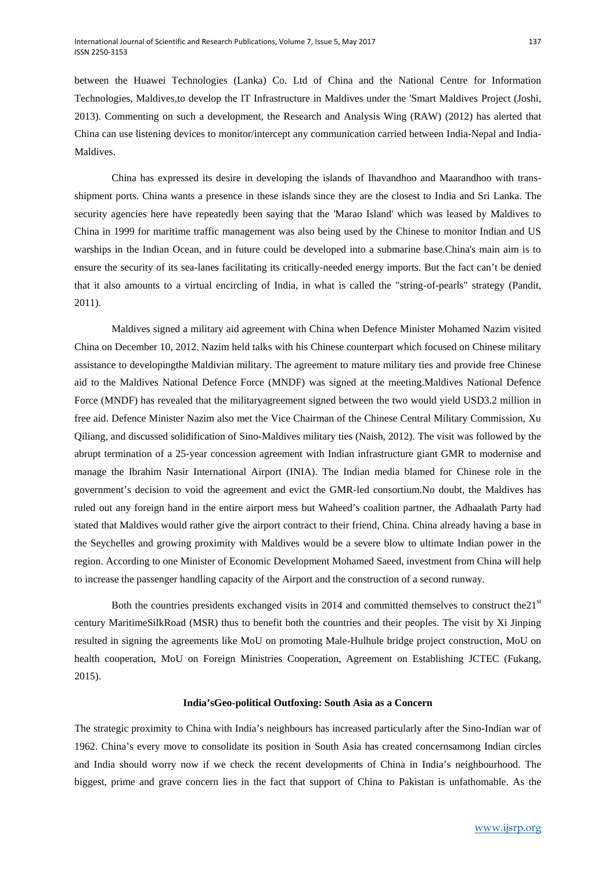between the Huawei Technologies (Lanka) Co. Ltd of China and the National Centre for Information Technologies, Maldives,to develop the IT Infrastructure in Maldives under the 'Smart Maldives Project (Joshi, 2013). Commenting on such a development, the Research and Analysis Wing (RAW) (2012) has alerted that China can use listening devices to monitor/intercept any communication carried between India-Nepal and India-Maldives.

China has expressed its desire in developing the islands of Ihavandhoo and Maarandhoo with transshipment ports. China wants a presence in these islands since they are the closest to India and Sri Lanka. The security agencies here have repeatedly been saying that the 'Marao Island' which was leased by Maldives to China in 1999 for maritime traffic management was also being used by the Chinese to monitor Indian and US warships in the Indian Ocean, and in future could be developed into a submarine base.China's main aim is to ensure the security of its sea-lanes facilitating its critically-needed energy imports. But the fact can't be denied that it also amounts to a virtual encircling of India, in what is called the "string-of-pearls" strategy (Pandit, 2011).

Maldives signed a military aid agreement with China when Defence Minister Mohamed Nazim visited China on December 10, 2012. Nazim held talks with his Chinese counterpart which focused on Chinese military assistance to developingthe Maldivian military. The agreement to mature military ties and provide free Chinese aid to the Maldives National Defence Force (MNDF) was signed at the meeting.Maldives National Defence Force (MNDF) has revealed that the militaryagreement signed between the two would yield USD3.2 million in free aid. Defence Minister Nazim also met the Vice Chairman of the Chinese Central Military Commission, Xu Qiliang, and discussed solidification of Sino-Maldives military ties (Naish, 2012). The visit was followed by the abrupt termination of a 25-year concession agreement with Indian infrastructure giant GMR to modernise and manage the Ibrahim Nasir International Airport (INIA). The Indian media blamed for Chinese role in the government's decision to void the agreement and evict the GMR-led consortium.No doubt, the Maldives has ruled out any foreign hand in the entire airport mess but Waheed's coalition partner, the Adhaalath Party had stated that Maldives would rather give the airport contract to their friend, China. China already having a base in the Seychelles and growing proximity with Maldives would be a severe blow to ultimate Indian power in the region. According to one Minister of Economic Development Mohamed Saeed, investment from China will help to increase the passenger handling capacity of the Airport and the construction of a second runway.

Both the countries presidents exchanged visits in 2014 and committed themselves to construct the $21<sup>st</sup>$ century MaritimeSilkRoad (MSR) thus to benefit both the countries and their peoples. The visit by Xi Jinping resulted in signing the agreements like MoU on promoting Male-Hulhule bridge project construction, MoU on health cooperation, MoU on Foreign Ministries Cooperation, Agreement on Establishing JCTEC (Fukang, 2015).

## **India'sGeo-political Outfoxing: South Asia as a Concern**

The strategic proximity to China with India's neighbours has increased particularly after the Sino-Indian war of 1962. China's every move to consolidate its position in South Asia has created concernsamong Indian circles and India should worry now if we check the recent developments of China in India's neighbourhood. The biggest, prime and grave concern lies in the fact that support of China to Pakistan is unfathomable. As the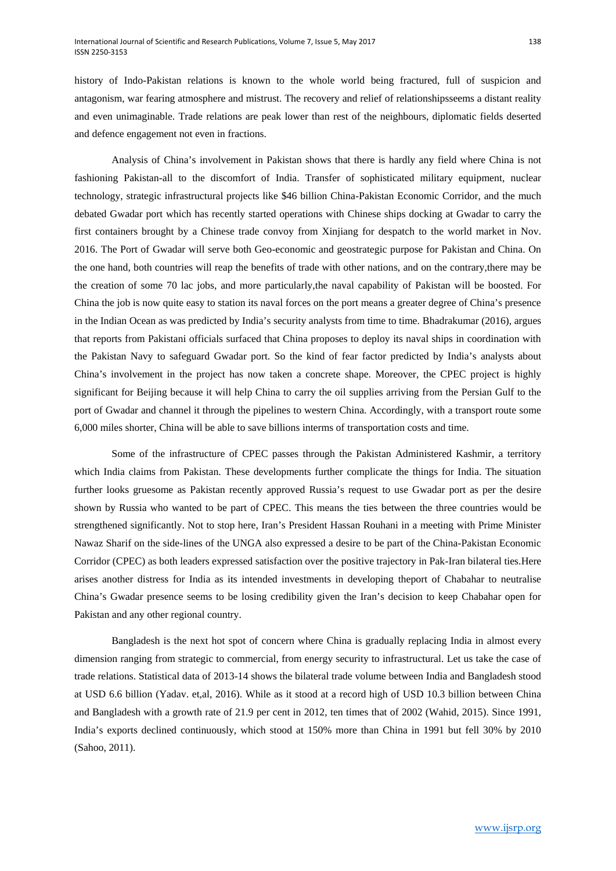history of Indo-Pakistan relations is known to the whole world being fractured, full of suspicion and antagonism, war fearing atmosphere and mistrust. The recovery and relief of relationshipsseems a distant reality and even unimaginable. Trade relations are peak lower than rest of the neighbours, diplomatic fields deserted and defence engagement not even in fractions.

Analysis of China's involvement in Pakistan shows that there is hardly any field where China is not fashioning Pakistan-all to the discomfort of India. Transfer of sophisticated military equipment, nuclear technology, strategic infrastructural projects like \$46 billion China-Pakistan Economic Corridor, and the much debated Gwadar port which has recently started operations with Chinese ships docking at Gwadar to carry the first containers brought by a Chinese trade convoy from Xinjiang for despatch to the world market in Nov. 2016. The Port of Gwadar will serve both Geo-economic and geostrategic purpose for Pakistan and China. On the one hand, both countries will reap the benefits of trade with other nations, and on the contrary,there may be the creation of some 70 lac jobs, and more particularly,the naval capability of Pakistan will be boosted. For China the job is now quite easy to station its naval forces on the port means a greater degree of China's presence in the Indian Ocean as was predicted by India's security analysts from time to time. Bhadrakumar (2016), argues that reports from Pakistani officials surfaced that China proposes to deploy its naval ships in coordination with the Pakistan Navy to safeguard Gwadar port. So the kind of fear factor predicted by India's analysts about China's involvement in the project has now taken a concrete shape. Moreover, the CPEC project is highly significant for Beijing because it will help China to carry the oil supplies arriving from the Persian Gulf to the port of Gwadar and channel it through the pipelines to western China. Accordingly, with a transport route some 6,000 miles shorter, China will be able to save billions interms of transportation costs and time.

Some of the infrastructure of CPEC passes through the Pakistan Administered Kashmir, a territory which India claims from Pakistan. These developments further complicate the things for India. The situation further looks gruesome as Pakistan recently approved Russia's request to use Gwadar port as per the desire shown by Russia who wanted to be part of CPEC. This means the ties between the three countries would be strengthened significantly. Not to stop here, Iran's President Hassan Rouhani in a meeting with Prime Minister Nawaz Sharif on the side-lines of the UNGA also expressed a desire to be part of the China-Pakistan Economic Corridor (CPEC) as both leaders expressed satisfaction over the positive trajectory in Pak-Iran bilateral ties.Here arises another distress for India as its intended investments in developing theport of Chabahar to neutralise China's Gwadar presence seems to be losing credibility given the Iran's decision to keep Chabahar open for Pakistan and any other regional country.

Bangladesh is the next hot spot of concern where China is gradually replacing India in almost every dimension ranging from strategic to commercial, from energy security to infrastructural. Let us take the case of trade relations. Statistical data of 2013-14 shows the bilateral trade volume between India and Bangladesh stood at USD 6.6 billion (Yadav. et,al, 2016). While as it stood at a record high of USD 10.3 billion between China and Bangladesh with a growth rate of 21.9 per cent in 2012, ten times that of 2002 (Wahid, 2015). Since 1991, India's exports declined continuously, which stood at 150% more than China in 1991 but fell 30% by 2010 (Sahoo, 2011).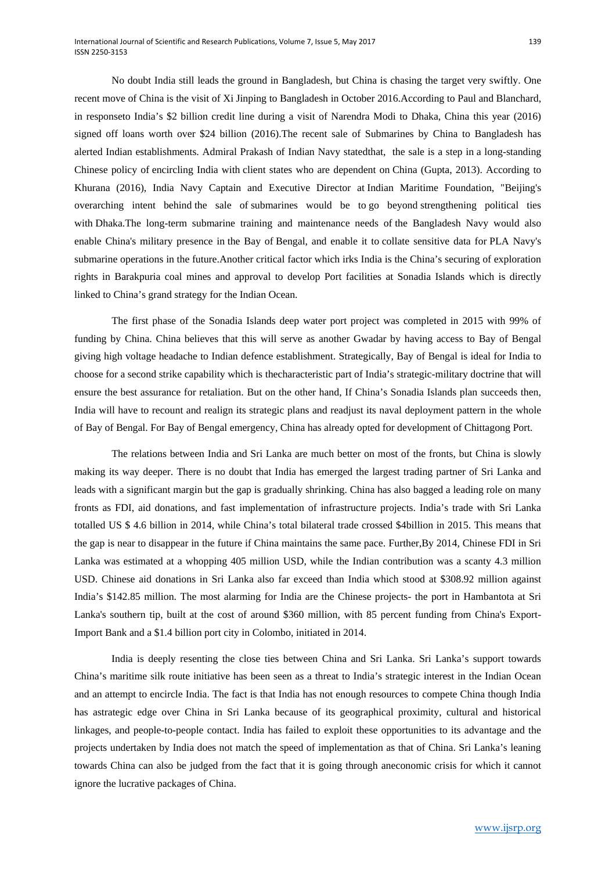No doubt India still leads the ground in Bangladesh, but China is chasing the target very swiftly. One recent move of China is the visit of Xi Jinping to Bangladesh in October 2016.According to Paul and Blanchard, in responseto India's \$2 billion credit line during a visit of Narendra Modi to Dhaka, China this year (2016) signed off loans worth over \$24 billion (2016).The recent sale of Submarines by China to Bangladesh has alerted Indian establishments. Admiral Prakash of Indian Navy statedthat, the sale is a step in a long-standing Chinese policy of encircling India with client states who are dependent on China (Gupta, 2013). According to Khurana (2016), India Navy Captain and Executive Director at Indian Maritime Foundation, "Beijing's overarching intent behind the sale of submarines would be to go beyond strengthening political ties with Dhaka.The long-term submarine training and maintenance needs of the Bangladesh Navy would also enable China's military presence in the Bay of Bengal, and enable it to collate sensitive data for PLA Navy's submarine operations in the future.Another critical factor which irks India is the China's securing of exploration rights in Barakpuria coal mines and approval to develop Port facilities at Sonadia Islands which is directly linked to China's grand strategy for the Indian Ocean.

The first phase of the Sonadia Islands deep water port project was completed in 2015 with 99% of funding by China. China believes that this will serve as another Gwadar by having access to Bay of Bengal giving high voltage headache to Indian defence establishment. Strategically, Bay of Bengal is ideal for India to choose for a second strike capability which is thecharacteristic part of India's strategic-military doctrine that will ensure the best assurance for retaliation. But on the other hand, If China's Sonadia Islands plan succeeds then, India will have to recount and realign its strategic plans and readjust its naval deployment pattern in the whole of Bay of Bengal. For Bay of Bengal emergency, China has already opted for development of Chittagong Port.

The relations between India and Sri Lanka are much better on most of the fronts, but China is slowly making its way deeper. There is no doubt that India has emerged the largest trading partner of Sri Lanka and leads with a significant margin but the gap is gradually shrinking. China has also bagged a leading role on many fronts as FDI, aid donations, and fast implementation of infrastructure projects. India's trade with Sri Lanka totalled US \$ 4.6 billion in 2014, while China's total bilateral trade crossed \$4billion in 2015. This means that the gap is near to disappear in the future if China maintains the same pace. Further,By 2014, Chinese FDI in Sri Lanka was estimated at a whopping 405 million USD, while the Indian contribution was a scanty 4.3 million USD. Chinese aid donations in Sri Lanka also far exceed than India which stood at \$308.92 million against India's \$142.85 million. The most alarming for India are the Chinese projects- the port in Hambantota at Sri Lanka's southern tip, built at the cost of around \$360 million, with 85 percent funding from China's Export-Import Bank and a \$1.4 billion port city in Colombo, initiated in 2014.

India is deeply resenting the close ties between China and Sri Lanka. Sri Lanka's support towards China's maritime silk route initiative has been seen as a threat to India's strategic interest in the Indian Ocean and an attempt to encircle India. The fact is that India has not enough resources to compete China though India has astrategic edge over China in Sri Lanka because of its geographical proximity, cultural and historical linkages, and people-to-people contact. India has failed to exploit these opportunities to its advantage and the projects undertaken by India does not match the speed of implementation as that of China. Sri Lanka's leaning towards China can also be judged from the fact that it is going through aneconomic crisis for which it cannot ignore the lucrative packages of China.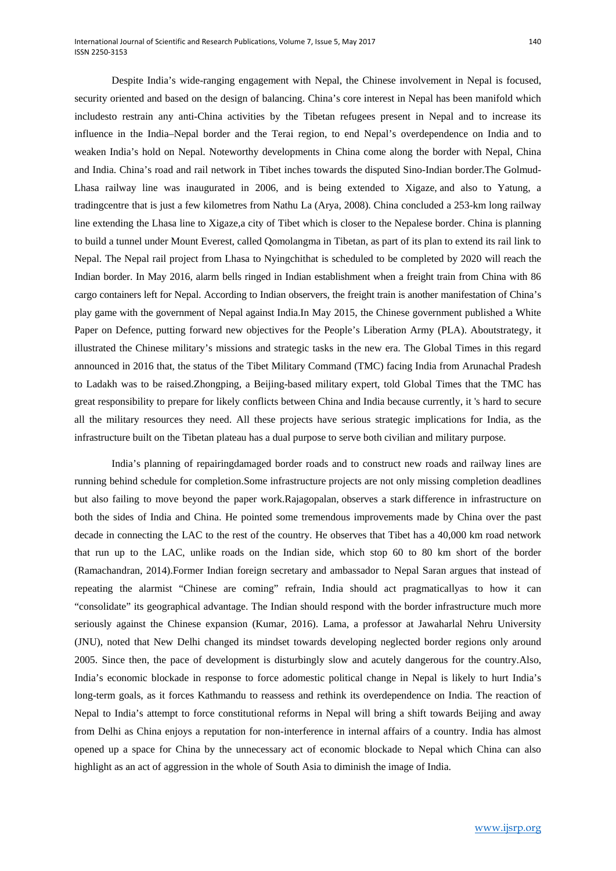Despite India's wide-ranging engagement with Nepal, the Chinese involvement in Nepal is focused, security oriented and based on the design of balancing. China's core interest in Nepal has been manifold which includesto restrain any anti-China activities by the Tibetan refugees present in Nepal and to increase its influence in the India–Nepal border and the Terai region, to end Nepal's overdependence on India and to weaken India's hold on Nepal. Noteworthy developments in China come along the border with Nepal, China and India. China's road and rail network in Tibet inches towards the disputed Sino-Indian border.The Golmud-Lhasa railway line was inaugurated in 2006, and is being extended to Xigaze, and also to Yatung, a tradingcentre that is just a few kilometres from Nathu La (Arya, 2008). China concluded a 253-km long railway line extending the Lhasa line to Xigaze,a city of Tibet which is closer to the Nepalese border. China is planning to build a tunnel under Mount Everest, called Qomolangma in Tibetan, as part of its plan to extend its rail link to Nepal. The Nepal rail project from Lhasa to Nyingchithat is scheduled to be completed by 2020 will reach the Indian border. In May 2016, alarm bells ringed in Indian establishment when a freight train from China with 86 cargo containers left for Nepal. According to Indian observers, the freight train is another manifestation of China's play game with the government of Nepal against India.In May 2015, the Chinese government published a White Paper on Defence, putting forward new objectives for the People's Liberation Army (PLA). Aboutstrategy, it illustrated the Chinese military's missions and strategic tasks in the new era. The Global Times in this regard announced in 2016 that, the status of the Tibet Military Command (TMC) facing India from Arunachal Pradesh to Ladakh was to be raised.Zhongping, a Beijing-based military expert, told Global Times that the TMC has great responsibility to prepare for likely conflicts between China and India because currently, it 's hard to secure all the military resources they need. All these projects have serious strategic implications for India, as the infrastructure built on the Tibetan plateau has a dual purpose to serve both civilian and military purpose.

India's planning of repairingdamaged border roads and to construct new roads and railway lines are running behind schedule for completion.Some infrastructure projects are not only missing completion deadlines but also failing to move beyond the paper work.Rajagopalan, observes a stark difference in infrastructure on both the sides of India and China. He pointed some tremendous improvements made by China over the past decade in connecting the LAC to the rest of the country. He observes that Tibet has a 40,000 km road network that run up to the LAC, unlike roads on the Indian side, which stop 60 to 80 km short of the border (Ramachandran, 2014).Former Indian foreign secretary and ambassador to Nepal Saran argues that instead of repeating the alarmist "Chinese are coming" refrain, India should act pragmaticallyas to how it can "consolidate" its geographical advantage. The Indian should respond with the border infrastructure much more seriously against the Chinese expansion (Kumar, 2016). Lama, a professor at Jawaharlal Nehru University (JNU), noted that New Delhi changed its mindset towards developing neglected border regions only around 2005. Since then, the pace of development is disturbingly slow and acutely dangerous for the country.Also, India's economic blockade in response to force adomestic political change in Nepal is likely to hurt India's long-term goals, as it forces Kathmandu to reassess and rethink its overdependence on India. The reaction of Nepal to India's attempt to force constitutional reforms in Nepal will bring a shift towards Beijing and away from Delhi as China enjoys a reputation for non-interference in internal affairs of a country. India has almost opened up a space for China by the unnecessary act of economic blockade to Nepal which China can also highlight as an act of aggression in the whole of South Asia to diminish the image of India.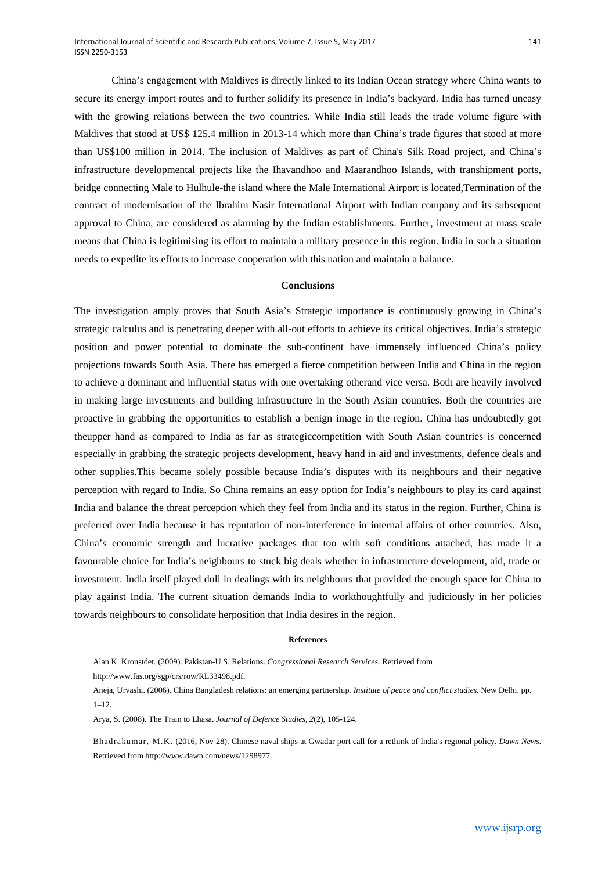China's engagement with Maldives is directly linked to its Indian Ocean strategy where China wants to secure its energy import routes and to further solidify its presence in India's backyard. India has turned uneasy with the growing relations between the two countries. While India still leads the trade volume figure with Maldives that stood at US\$ 125.4 million in 2013-14 which more than China's trade figures that stood at more than US\$100 million in 2014. The inclusion of Maldives as part of China's Silk Road project, and China's infrastructure developmental projects like the Ihavandhoo and Maarandhoo Islands, with transhipment ports, bridge connecting Male to Hulhule-the island where the Male International Airport is located,Termination of the contract of modernisation of the Ibrahim Nasir International Airport with Indian company and its subsequent approval to China, are considered as alarming by the Indian establishments. Further, investment at mass scale means that China is legitimising its effort to maintain a military presence in this region. India in such a situation needs to expedite its efforts to increase cooperation with this nation and maintain a balance.

#### **Conclusions**

The investigation amply proves that South Asia's Strategic importance is continuously growing in China's strategic calculus and is penetrating deeper with all-out efforts to achieve its critical objectives. India's strategic position and power potential to dominate the sub-continent have immensely influenced China's policy projections towards South Asia. There has emerged a fierce competition between India and China in the region to achieve a dominant and influential status with one overtaking otherand vice versa. Both are heavily involved in making large investments and building infrastructure in the South Asian countries. Both the countries are proactive in grabbing the opportunities to establish a benign image in the region. China has undoubtedly got theupper hand as compared to India as far as strategiccompetition with South Asian countries is concerned especially in grabbing the strategic projects development, heavy hand in aid and investments, defence deals and other supplies.This became solely possible because India's disputes with its neighbours and their negative perception with regard to India. So China remains an easy option for India's neighbours to play its card against India and balance the threat perception which they feel from India and its status in the region. Further, China is preferred over India because it has reputation of non-interference in internal affairs of other countries. Also, China's economic strength and lucrative packages that too with soft conditions attached, has made it a favourable choice for India's neighbours to stuck big deals whether in infrastructure development, aid, trade or investment. India itself played dull in dealings with its neighbours that provided the enough space for China to play against India. The current situation demands India to workthoughtfully and judiciously in her policies towards neighbours to consolidate herposition that India desires in the region.

#### **References**

Alan K. Kronstdet. (2009). Pakistan-U.S. Relations. *Congressional Research Services*. Retrieved from http://www.fas.org/sgp/crs/row/RL33498.pdf.

Aneja, Urvashi. (2006). China Bangladesh relations: an emerging partnership*. Institute of peace and conflict studies.* New Delhi. pp. 1–12.

Arya, S. (2008). The Train to Lhasa. *Journal of Defence Studies*, *2*(2), 105-124.

Bhadrakumar, M.K. (2016, Nov 28). Chinese naval ships at Gwadar port call for a rethink of India's regional policy. *Dawn News*. Retrieved from http://www.dawn.com/news/1298977.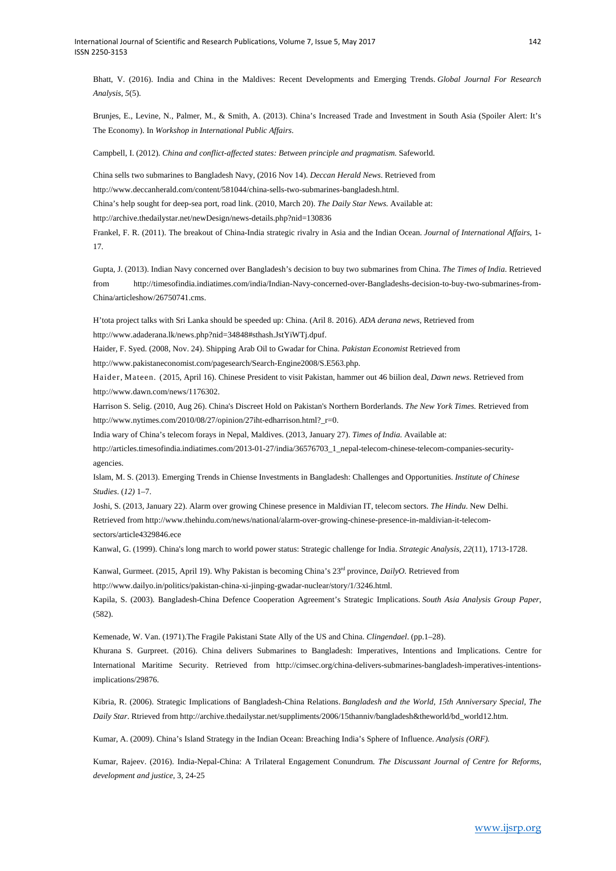Bhatt, V. (2016). India and China in the Maldives: Recent Developments and Emerging Trends. *Global Journal For Research Analysis*, *5*(5).

Brunjes, E., Levine, N., Palmer, M., & Smith, A. (2013). China's Increased Trade and Investment in South Asia (Spoiler Alert: It's The Economy). In *Workshop in International Public Affairs*.

Campbell, I. (2012). *China and conflict-affected states: Between principle and pragmatism.* Safeworld.

China sells two submarines to Bangladesh Navy, (2016 Nov 14). *Deccan Herald News*. Retrieved from

http://www.deccanherald.com/content/581044/china-sells-two-submarines-bangladesh.html.

China's help sought for deep-sea port, road link. (2010, March 20). *The Daily Star News.* Available at:

http://archive.thedailystar.net/newDesign/news-details.php?nid=130836

Frankel, F. R. (2011). The breakout of China-India strategic rivalry in Asia and the Indian Ocean. *Journal of International Affairs*, 1- 17.

Gupta, J. (2013). Indian Navy concerned over Bangladesh's decision to buy two submarines from China. *The Times of India*. Retrieved from http://timesofindia.indiatimes.com/india/Indian-Navy-concerned-over-Bangladeshs-decision-to-buy-two-submarines-from-China/articleshow/26750741.cms.

H'tota project talks with Sri Lanka should be speeded up: China. (Aril 8. 2016). *ADA derana news*, Retrieved from http://www.adaderana.lk/news.php?nid=34848#sthash.JstYiWTj.dpuf.

Haider, F. Syed. (2008, Nov. 24). Shipping Arab Oil to Gwadar for China. *Pakistan Economist* Retrieved from

http://www.pakistaneconomist.com/pagesearch/Search-Engine2008/S.E563.php.

Haider, Mateen. (2015, April 16). Chinese President to visit Pakistan, hammer out 46 biilion deal, *Dawn news*. Retrieved from http://www.dawn.com/news/1176302.

Harrison S. Selig. (2010, Aug 26). China's Discreet Hold on Pakistan's Northern Borderlands. *The New York Times.* Retrieved from http://www.nytimes.com/2010/08/27/opinion/27iht-edharrison.html?\_r=0.

India wary of China's telecom forays in Nepal, Maldives. (2013, January 27). *Times of India.* Available at:

http://articles.timesofindia.indiatimes.com/2013-01-27/india/36576703\_1\_nepal-telecom-chinese-telecom-companies-securityagencies.

Islam, M. S. (2013). Emerging Trends in Chiense Investments in Bangladesh: Challenges and Opportunities. *Institute of Chinese Studies*. (*12)* 1–7.

Joshi, S. (2013, January 22). Alarm over growing Chinese presence in Maldivian IT, telecom sectors. *The Hindu*. New Delhi. Retrieved from http://www.thehindu.com/news/national/alarm-over-growing-chinese-presence-in-maldivian-it-telecomsectors/article4329846.ece

Kanwal, G. (1999). China's long march to world power status: Strategic challenge for India. *Strategic Analysis*, *22*(11), 1713-1728.

Kanwal, Gurmeet. (2015, April 19). Why Pakistan is becoming China's 23rd province, *DailyO.* Retrieved from

http://www.dailyo.in/politics/pakistan-china-xi-jinping-gwadar-nuclear/story/1/3246.html.

Kapila, S. (2003). Bangladesh-China Defence Cooperation Agreement's Strategic Implications. *South Asia Analysis Group Paper*, (582).

Kemenade, W. Van. (1971).The Fragile Pakistani State Ally of the US and China. *Clingendael*. (pp.1–28).

Khurana S. Gurpreet. (2016). China delivers Submarines to Bangladesh: Imperatives, Intentions and Implications. Centre for International Maritime Security. Retrieved from http://cimsec.org/china-delivers-submarines-bangladesh-imperatives-intentionsimplications/29876.

Kibria, R. (2006). Strategic Implications of Bangladesh-China Relations. *Bangladesh and the World, 15th Anniversary Special, The Daily Star*. Rtrieved from http://archive.thedailystar.net/suppliments/2006/15thanniv/bangladesh&theworld/bd\_world12.htm.

Kumar, A. (2009). China's Island Strategy in the Indian Ocean: Breaching India's Sphere of Influence. *Analysis (ORF).*

Kumar, Rajeev. (2016). India-Nepal-China: A Trilateral Engagement Conundrum. *The Discussant Journal of Centre for Reforms, development and justice*, 3, 24-25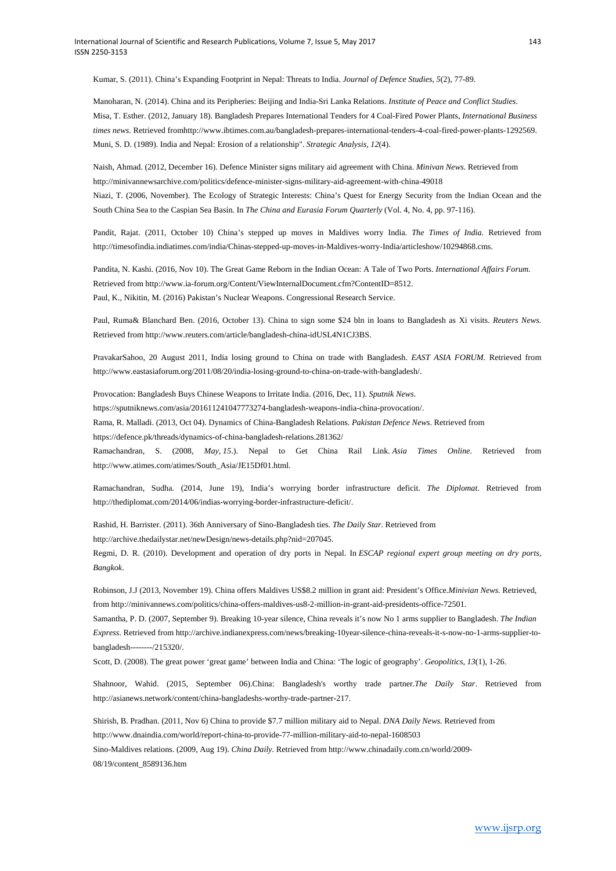Kumar, S. (2011). China's Expanding Footprint in Nepal: Threats to India. *Journal of Defence Studies*, *5*(2), 77-89.

Manoharan, N. (2014). China and its Peripheries: Beijing and India-Sri Lanka Relations. *Institute of Peace and Conflict Studies*. Misa, T. Esther. (2012, January 18). Bangladesh Prepares International Tenders for 4 Coal-Fired Power Plants, *International Business times news.* Retrieved fromhttp://www.ibtimes.com.au/bangladesh-prepares-international-tenders-4-coal-fired-power-plants-1292569. Muni, S. D. (1989). India and Nepal: Erosion of a relationship". *Strategic Analysis*, *12*(4).

Naish, Ahmad. (2012, December 16). Defence Minister signs military aid agreement with China. *Minivan News*. Retrieved from http://minivannewsarchive.com/politics/defence-minister-signs-military-aid-agreement-with-china-49018

Niazi, T. (2006, November). The Ecology of Strategic Interests: China's Quest for Energy Security from the Indian Ocean and the South China Sea to the Caspian Sea Basin. In *The China and Eurasia Forum Quarterly* (Vol. 4, No. 4, pp. 97-116).

Pandit, Rajat. (2011, October 10) China's stepped up moves in Maldives worry India. *The Times of India.* Retrieved from http://timesofindia.indiatimes.com/india/Chinas-stepped-up-moves-in-Maldives-worry-India/articleshow/10294868.cms.

Pandita, N. Kashi. (2016, Nov 10). The Great Game Reborn in the Indian Ocean: A Tale of Two Ports. *International Affairs Forum.* Retrieved from http://www.ia-forum.org/Content/ViewInternalDocument.cfm?ContentID=8512.

Paul, K., Nikitin, M. (2016) Pakistan's Nuclear Weapons. Congressional Research Service.

Paul, Ruma& Blanchard Ben. (2016, October 13). China to sign some \$24 bln in loans to Bangladesh as Xi visits. *Reuters News*. Retrieved from http://www.reuters.com/article/bangladesh-china-idUSL4N1CJ3BS.

PravakarSahoo, 20 August 2011, India losing ground to China on trade with Bangladesh. *EAST ASIA FORUM.* Retrieved from http://www.eastasiaforum.org/2011/08/20/india-losing-ground-to-china-on-trade-with-bangladesh/.

Provocation: Bangladesh Buys Chinese Weapons to Irritate India. (2016, Dec, 11). *Sputnik News*.

https://sputniknews.com/asia/201611241047773274-bangladesh-weapons-india-china-provocation/.

Rama, R. Malladi. (2013, Oct 04). Dynamics of China-Bangladesh Relations. *Pakistan Defence News*. Retrieved from

https://defence.pk/threads/dynamics-of-china-bangladesh-relations.281362/

Ramachandran, S. (2008, *May*, *15*.). Nepal to Get China Rail Link. *Asia Times Online.* Retrieved from http://www.atimes.com/atimes/South\_Asia/JE15Df01.html.

Ramachandran, Sudha. (2014, June 19), India's worrying border infrastructure deficit. *The Diplomat*. Retrieved from http://thediplomat.com/2014/06/indias-worrying-border-infrastructure-deficit/.

Rashid, H. Barrister. (2011). 36th Anniversary of Sino-Bangladesh ties. *The Daily Star*. Retrieved from

http://archive.thedailystar.net/newDesign/news-details.php?nid=207045.

Regmi, D. R. (2010). Development and operation of dry ports in Nepal. In *ESCAP regional expert group meeting on dry ports, Bangkok*.

Robinson, J.J (2013, November 19). China offers Maldives US\$8.2 million in grant aid: President's Office.*Minivian News.* Retrieved, from http://minivannews.com/politics/china-offers-maldives-us8-2-million-in-grant-aid-presidents-office-72501.

Samantha, P. D. (2007, September 9). Breaking 10-year silence, China reveals it's now No 1 arms supplier to Bangladesh. *The Indian Express*. Retrieved from http://archive.indianexpress.com/news/breaking-10year-silence-china-reveals-it-s-now-no-1-arms-supplier-tobangladesh--------/215320/.

Scott, D. (2008). The great power 'great game' between India and China: 'The logic of geography'. *Geopolitics*, *13*(1), 1-26.

Shahnoor, Wahid. (2015, September 06).China: Bangladesh's worthy trade partner.*The Daily Star*. Retrieved from http://asianews.network/content/china-bangladeshs-worthy-trade-partner-217.

Shirish, B. Pradhan. (2011, Nov 6) China to provide \$7.7 million military aid to Nepal. *DNA Daily News.* Retrieved from http://www.dnaindia.com/world/report-china-to-provide-77-million-military-aid-to-nepal-1608503

Sino-Maldives relations. (2009, Aug 19). *China Daily.* Retrieved from http://www.chinadaily.com.cn/world/2009- 08/19/content\_8589136.htm